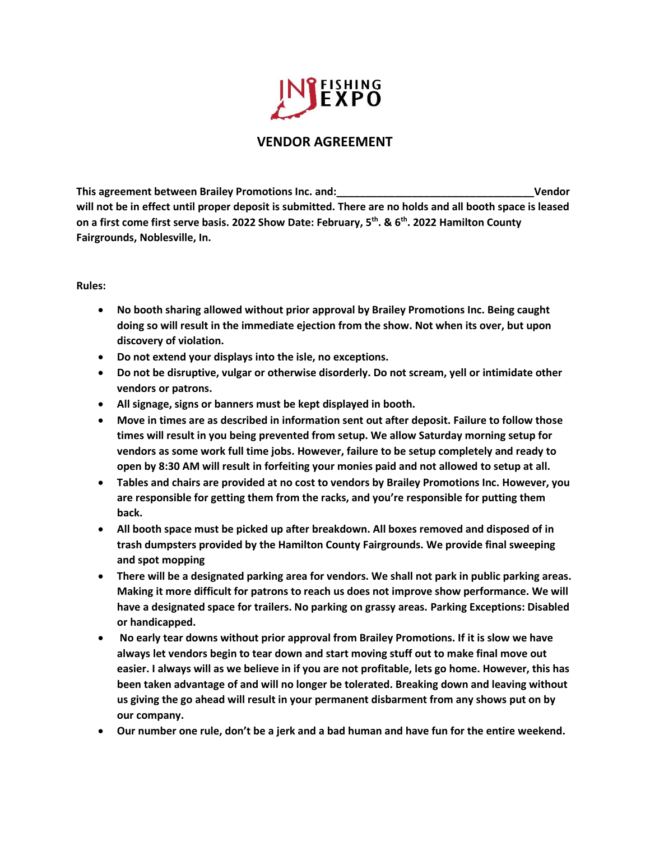

## **VENDOR AGREEMENT**

**This agreement between Brailey Promotions Inc. and:\_\_\_\_\_\_\_\_\_\_\_\_\_\_\_\_\_\_\_\_\_\_\_\_\_\_\_\_\_\_\_\_\_\_Vendor will not be in effect until proper deposit is submitted. There are no holds and all booth space is leased on a first come first serve basis. 2022 Show Date: February, 5th. & 6th. 2022 Hamilton County Fairgrounds, Noblesville, In.**

## **Rules:**

- **No booth sharing allowed without prior approval by Brailey Promotions Inc. Being caught doing so will result in the immediate ejection from the show. Not when its over, but upon discovery of violation.**
- **Do not extend your displays into the isle, no exceptions.**
- **Do not be disruptive, vulgar or otherwise disorderly. Do not scream, yell or intimidate other vendors or patrons.**
- **All signage, signs or banners must be kept displayed in booth.**
- **Move in times are as described in information sent out after deposit. Failure to follow those times will result in you being prevented from setup. We allow Saturday morning setup for vendors as some work full time jobs. However, failure to be setup completely and ready to open by 8:30 AM will result in forfeiting your monies paid and not allowed to setup at all.**
- **Tables and chairs are provided at no cost to vendors by Brailey Promotions Inc. However, you are responsible for getting them from the racks, and you're responsible for putting them back.**
- **All booth space must be picked up after breakdown. All boxes removed and disposed of in trash dumpsters provided by the Hamilton County Fairgrounds. We provide final sweeping and spot mopping**
- **There will be a designated parking area for vendors. We shall not park in public parking areas. Making it more difficult for patrons to reach us does not improve show performance. We will have a designated space for trailers. No parking on grassy areas. Parking Exceptions: Disabled or handicapped.**
- **No early tear downs without prior approval from Brailey Promotions. If it is slow we have always let vendors begin to tear down and start moving stuff out to make final move out easier. I always will as we believe in if you are not profitable, lets go home. However, this has been taken advantage of and will no longer be tolerated. Breaking down and leaving without us giving the go ahead will result in your permanent disbarment from any shows put on by our company.**
- **Our number one rule, don't be a jerk and a bad human and have fun for the entire weekend.**